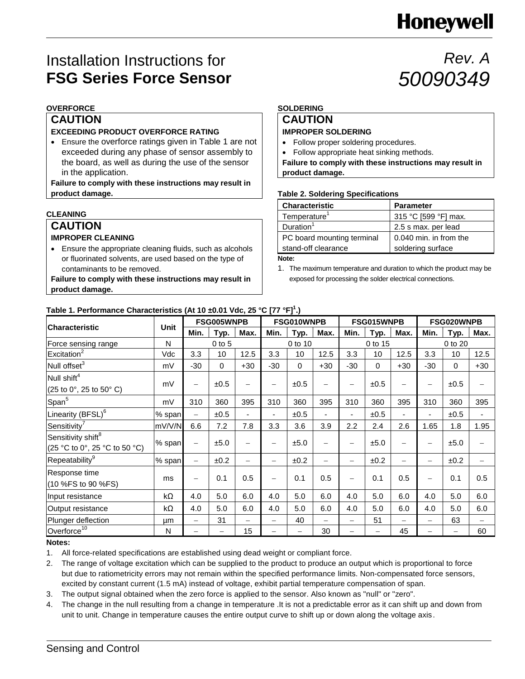# **Honeywell**

*50090349*

*Rev. A*

# Installation Instructions for **FSG Series Force Sensor**

# **OVERFORCE**

# **CAUTION**

### **EXCEEDING PRODUCT OVERFORCE RATING**

 Ensure the overforce ratings given in Table 1 are not exceeded during any phase of sensor assembly to the board, as well as during the use of the sensor in the application.

**Failure to comply with these instructions may result in product damage.**

# **CLEANING**

### **CAUTION IMPROPER CLEANING**

 Ensure the appropriate cleaning fluids, such as alcohols or fluorinated solvents, are used based on the type of contaminants to be removed.

**Failure to comply with these instructions may result in product damage.**

# **SOLDERING**

# **CAUTION**

# **IMPROPER SOLDERING**

- Follow proper soldering procedures.
- Follow appropriate heat sinking methods.

**Failure to comply with these instructions may result in product damage.**

### **Table 2. Soldering Specifications**

| <b>Characteristic</b>      | <b>Parameter</b>       |
|----------------------------|------------------------|
| Temperature <sup>1</sup>   | 315 °C [599 °F] max.   |
| Duration <sup>1</sup>      | 2.5 s max. per lead    |
| PC board mounting terminal | 0.040 min. in from the |
| stand-off clearance        | soldering surface      |
|                            |                        |

**Note:**

1. The maximum temperature and duration to which the product may be exposed for processing the solder electrical connections.

### **Table 1. Performance Characteristics (At 10 ±0.01 Vdc, 25 °C [77 °F]<sup>1</sup> .)**

|                                                                   |             | FSG005WNPB               |      |                          | FSG010WNPB               |                   |                | FSG015WNPB        |          |                          | FSG020WNPB               |             |       |
|-------------------------------------------------------------------|-------------|--------------------------|------|--------------------------|--------------------------|-------------------|----------------|-------------------|----------|--------------------------|--------------------------|-------------|-------|
| <b>Characteristic</b>                                             | <b>Unit</b> | Min.                     | Typ. | Max.                     | Min.                     | Typ.              | Max.           | Min.              | Typ.     | Max.                     | Min.                     | Typ.        | Max.  |
| Force sensing range                                               | N           | $0$ to $5$               |      |                          | 0 to 10                  |                   |                | 0 to 15           |          |                          | 0 to 20                  |             |       |
| Excitation <sup>2</sup>                                           | Vdc         | 3.3                      | 10   | 12.5                     | 3.3                      | 10                | 12.5           | 3.3               | 10       | 12.5                     | 3.3                      | 10          | 12.5  |
| Null offset <sup>3</sup>                                          | mV          | $-30$                    | 0    | $+30$                    | $-30$                    | $\mathbf 0$       | $+30$          | $-30$             | $\Omega$ | $+30$                    | $-30$                    | $\mathbf 0$ | $+30$ |
| Null shift <sup>4</sup>                                           |             |                          | ±0.5 | $\overline{\phantom{0}}$ | $\qquad \qquad -$        | ±0.5              | -              | $\qquad \qquad -$ | ±0.5     | -                        | $\qquad \qquad -$        | ±0.5        |       |
| $(25 \text{ to } 0^{\circ}, 25 \text{ to } 50^{\circ} \text{ C})$ | mV          | $\qquad \qquad -$        |      |                          |                          |                   |                |                   |          |                          |                          |             |       |
| Span <sup>5</sup>                                                 | mV          | 310                      | 360  | 395                      | 310                      | 360               | 395            | 310               | 360      | 395                      | 310                      | 360         | 395   |
| Linearity (BFSL) <sup>6</sup>                                     | % span      |                          | ±0.5 | ٠                        |                          | ±0.5              | $\blacksquare$ | ٠                 | ±0.5     |                          |                          | ±0.5        |       |
| Sensitivity <sup>7</sup>                                          | mV/V/N      | 6.6                      | 7.2  | 7.8                      | 3.3                      | 3.6               | 3.9            | 2.2               | 2.4      | 2.6                      | 1.65                     | 1.8         | 1.95  |
| Sensitivity shift <sup>8</sup><br>(25 °C to 0°, 25 °C to 50 °C)   | % span      | $\overline{\phantom{m}}$ | ±5.0 | $\overline{\phantom{0}}$ | $\qquad \qquad -$        | ±5.0              | —              | $\qquad \qquad -$ | ±5.0     | —                        | $\overline{\phantom{0}}$ | ±5.0        |       |
| Repeatability <sup>9</sup>                                        | % span      | $\qquad \qquad -$        | ±0.2 |                          | $\qquad \qquad -$        | ±0.2              | -              | $\qquad \qquad -$ | ±0.2     | $\overline{\phantom{0}}$ |                          | ±0.2        |       |
| Response time<br>(10 %FS to 90 %FS)                               | ms          | $\qquad \qquad -$        | 0.1  | 0.5                      | $\overline{\phantom{0}}$ | 0.1               | 0.5            |                   | 0.1      | 0.5                      | $\overline{\phantom{0}}$ | 0.1         | 0.5   |
| Input resistance                                                  | kΩ          | 4.0                      | 5.0  | 6.0                      | 4.0                      | 5.0               | 6.0            | 4.0               | 5.0      | 6.0                      | 4.0                      | 5.0         | 6.0   |
| Output resistance                                                 | kΩ          | 4.0                      | 5.0  | 6.0                      | 4.0                      | 5.0               | 6.0            | 4.0               | 5.0      | 6.0                      | 4.0                      | 5.0         | 6.0   |
| Plunger deflection                                                | μm          |                          | 31   |                          |                          | 40                |                |                   | 51       |                          |                          | 63          |       |
| Overforce <sup>10</sup>                                           | N           |                          |      | 15                       |                          | $\qquad \qquad -$ | 30             |                   |          | 45                       |                          | —           | 60    |

### **Notes:**

1. All force-related specifications are established using dead weight or compliant force.

2. The range of voltage excitation which can be supplied to the product to produce an output which is proportional to force but due to ratiometricity errors may not remain within the specified performance limits. Non-compensated force sensors, excited by constant current (1.5 mA) instead of voltage, exhibit partial temperature compensation of span.

- 3. The output signal obtained when the zero force is applied to the sensor. Also known as "null" or "zero".
- 4. The change in the null resulting from a change in temperature .It is not a predictable error as it can shift up and down from unit to unit. Change in temperature causes the entire output curve to shift up or down along the voltage axis.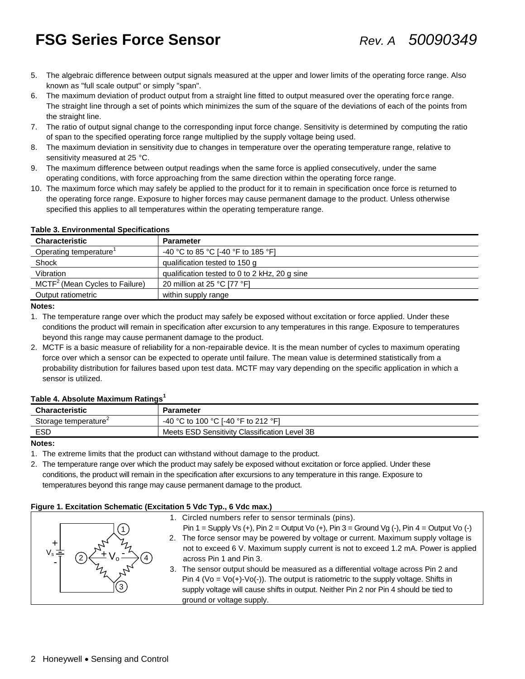# **FSG Series Force Sensor** *Rev. A 50090349*

- 5. The algebraic difference between output signals measured at the upper and lower limits of the operating force range. Also known as "full scale output" or simply "span".
- 6. The maximum deviation of product output from a straight line fitted to output measured over the operating force range. The straight line through a set of points which minimizes the sum of the square of the deviations of each of the points from the straight line.
- 7. The ratio of output signal change to the corresponding input force change. Sensitivity is determined by computing the ratio of span to the specified operating force range multiplied by the supply voltage being used.
- 8. The maximum deviation in sensitivity due to changes in temperature over the operating temperature range, relative to sensitivity measured at 25 °C.
- 9. The maximum difference between output readings when the same force is applied consecutively, under the same operating conditions, with force approaching from the same direction within the operating force range.
- 10. The maximum force which may safely be applied to the product for it to remain in specification once force is returned to the operating force range. Exposure to higher forces may cause permanent damage to the product. Unless otherwise specified this applies to all temperatures within the operating temperature range.

| <b>Characteristic</b>            | <b>Parameter</b>                              |
|----------------------------------|-----------------------------------------------|
| Operating temperature'           | -40 °C to 85 °C [-40 °F to 185 °F]            |
| Shock                            | qualification tested to 150 g                 |
| Vibration                        | qualification tested to 0 to 2 kHz, 20 g sine |
| $MCTF2$ (Mean Cycles to Failure) | 20 million at 25 °C [77 °F]                   |
| Output ratiometric               | within supply range                           |

### **Table 3. Environmental Specifications**

#### **Notes:**

- 1. The temperature range over which the product may safely be exposed without excitation or force applied. Under these conditions the product will remain in specification after excursion to any temperatures in this range. Exposure to temperatures beyond this range may cause permanent damage to the product.
- 2. MCTF is a basic measure of reliability for a non-repairable device. It is the mean number of cycles to maximum operating force over which a sensor can be expected to operate until failure. The mean value is determined statistically from a probability distribution for failures based upon test data. MCTF may vary depending on the specific application in which a sensor is utilized.

### **Table 4. Absolute Maximum Ratings<sup>1</sup>**

| <b>Characteristic</b>            | Parameter                                     |
|----------------------------------|-----------------------------------------------|
| Storage temperature <sup>-</sup> | -40 °C to 100 °C I-40 °F to 212 °F1           |
| ESD                              | Meets ESD Sensitivity Classification Level 3B |

#### **Notes:**

1. The extreme limits that the product can withstand without damage to the product.

2. The temperature range over which the product may safely be exposed without excitation or force applied. Under these conditions, the product will remain in the specification after excursions to any temperature in this range. Exposure to temperatures beyond this range may cause permanent damage to the product.

#### **Figure 1. Excitation Schematic (Excitation 5 Vdc Typ., 6 Vdc max.)**

|   | 1. Circled numbers refer to sensor terminals (pins).                                                    |
|---|---------------------------------------------------------------------------------------------------------|
|   | Pin 1 = Supply Vs (+), Pin 2 = Output Vo (+), Pin 3 = Ground Vg (-), Pin 4 = Output Vo (-)              |
|   | 2. The force sensor may be powered by voltage or current. Maximum supply voltage is                     |
|   | not to exceed 6 V. Maximum supply current is not to exceed 1.2 mA. Power is applied                     |
| - | across Pin 1 and Pin 3.                                                                                 |
|   | 3. The sensor output should be measured as a differential voltage across Pin 2 and                      |
|   | Pin 4 (Vo = $\sqrt{O(1)}$ - $\sqrt{O(-)}$ ). The output is ratiometric to the supply voltage. Shifts in |
|   | supply voltage will cause shifts in output. Neither Pin 2 nor Pin 4 should be tied to                   |
|   | ground or voltage supply.                                                                               |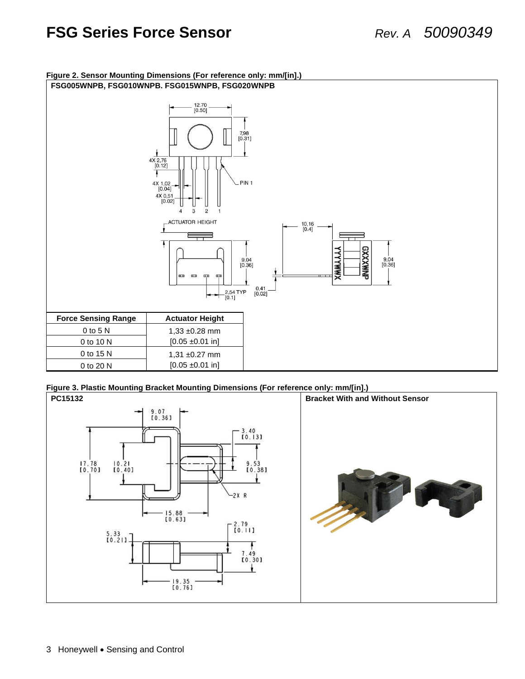# **FSG Series Force Sensor** *Rev. A 50090349*



#### **Figure 2. Sensor Mounting Dimensions (For reference only: mm/[in].)**